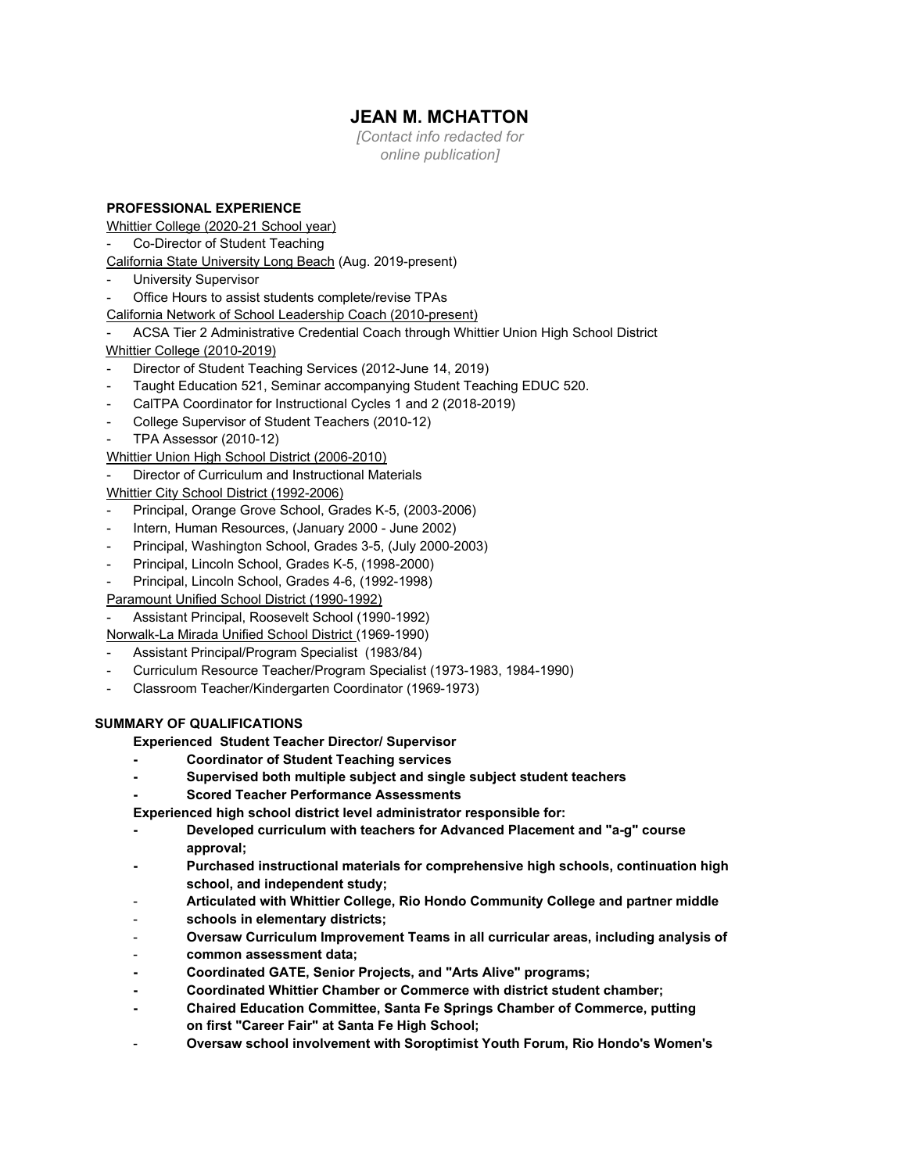# **JEAN M. MCHATTON**

*[Contact info redacted for online publication]*

# **PROFESSIONAL EXPERIENCE**

Whittier College (2020-21 School year)

Co-Director of Student Teaching

California State University Long Beach (Aug. 2019-present)

- **University Supervisor**
- Office Hours to assist students complete/revise TPAs
- California Network of School Leadership Coach (2010-present)

- ACSA Tier 2 Administrative Credential Coach through Whittier Union High School District Whittier College (2010-2019)

- Director of Student Teaching Services (2012-June 14, 2019)
- Taught Education 521, Seminar accompanying Student Teaching EDUC 520.
- CalTPA Coordinator for Instructional Cycles 1 and 2 (2018-2019)
- College Supervisor of Student Teachers (2010-12)
- TPA Assessor (2010-12)

Whittier Union High School District (2006-2010)

Director of Curriculum and Instructional Materials

Whittier City School District (1992-2006)

- Principal, Orange Grove School, Grades K-5, (2003-2006)
- Intern, Human Resources, (January 2000 June 2002)
- Principal, Washington School, Grades 3-5, (July 2000-2003)
- Principal, Lincoln School, Grades K-5, (1998-2000)
- Principal, Lincoln School, Grades 4-6, (1992-1998)

Paramount Unified School District (1990-1992)

- Assistant Principal, Roosevelt School (1990-1992)
- Norwalk-La Mirada Unified School District (1969-1990)
- Assistant Principal/Program Specialist (1983/84)
- Curriculum Resource Teacher/Program Specialist (1973-1983, 1984-1990)
- Classroom Teacher/Kindergarten Coordinator (1969-1973)

## **SUMMARY OF QUALIFICATIONS**

**Experienced Student Teacher Director/ Supervisor**

- **- Coordinator of Student Teaching services**
- **- Supervised both multiple subject and single subject student teachers**
- **- Scored Teacher Performance Assessments**

**Experienced high school district level administrator responsible for:**

- **- Developed curriculum with teachers for Advanced Placement and "a-g" course approval;**
- **- Purchased instructional materials for comprehensive high schools, continuation high school, and independent study;**
- **Articulated with Whittier College, Rio Hondo Community College and partner middle**
- **schools in elementary districts;**
- **Oversaw Curriculum Improvement Teams in all curricular areas, including analysis of**
- **common assessment data;**
- **- Coordinated GATE, Senior Projects, and "Arts Alive" programs;**
- **- Coordinated Whittier Chamber or Commerce with district student chamber;**
- **- Chaired Education Committee, Santa Fe Springs Chamber of Commerce, putting on first "Career Fair" at Santa Fe High School;**
- **Oversaw school involvement with Soroptimist Youth Forum, Rio Hondo's Women's**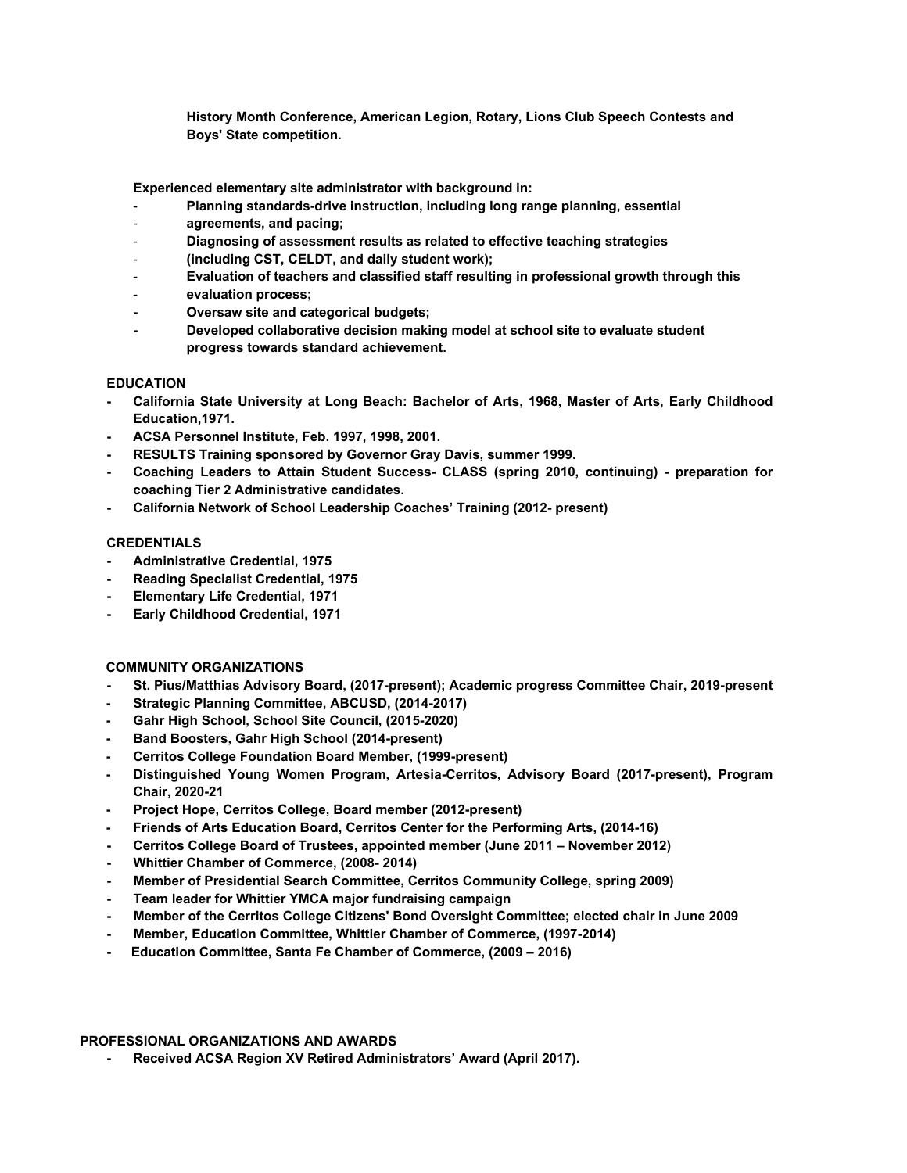**History Month Conference, American Legion, Rotary, Lions Club Speech Contests and Boys' State competition.**

**Experienced elementary site administrator with background in:**

- **Planning standards-drive instruction, including long range planning, essential**
- **agreements, and pacing;**
- **Diagnosing of assessment results as related to effective teaching strategies**
- **(including CST, CELDT, and daily student work);**
- **Evaluation of teachers and classified staff resulting in professional growth through this**
- **evaluation process;**
- **- Oversaw site and categorical budgets;**
- **- Developed collaborative decision making model at school site to evaluate student progress towards standard achievement.**

#### **EDUCATION**

- **- California State University at Long Beach: Bachelor of Arts, 1968, Master of Arts, Early Childhood Education,1971.**
- **- ACSA Personnel Institute, Feb. 1997, 1998, 2001.**
- **- RESULTS Training sponsored by Governor Gray Davis, summer 1999.**
- **- Coaching Leaders to Attain Student Success- CLASS (spring 2010, continuing) preparation for coaching Tier 2 Administrative candidates.**
- **- California Network of School Leadership Coaches' Training (2012- present)**

#### **CREDENTIALS**

- **- Administrative Credential, 1975**
- **- Reading Specialist Credential, 1975**
- **- Elementary Life Credential, 1971**
- **- Early Childhood Credential, 1971**

#### **COMMUNITY ORGANIZATIONS**

- **- St. Pius/Matthias Advisory Board, (2017-present); Academic progress Committee Chair, 2019-present**
- **- Strategic Planning Committee, ABCUSD, (2014-2017)**
- **- Gahr High School, School Site Council, (2015-2020)**
- **- Band Boosters, Gahr High School (2014-present)**
- **- Cerritos College Foundation Board Member, (1999-present)**
- **- Distinguished Young Women Program, Artesia-Cerritos, Advisory Board (2017-present), Program Chair, 2020-21**
- **- Project Hope, Cerritos College, Board member (2012-present)**
- **- Friends of Arts Education Board, Cerritos Center for the Performing Arts, (2014-16)**
- **- Cerritos College Board of Trustees, appointed member (June 2011 November 2012)**
- **- Whittier Chamber of Commerce, (2008- 2014)**
- **- Member of Presidential Search Committee, Cerritos Community College, spring 2009)**
- **- Team leader for Whittier YMCA major fundraising campaign**
- **- Member of the Cerritos College Citizens' Bond Oversight Committee; elected chair in June 2009**
- **- Member, Education Committee, Whittier Chamber of Commerce, (1997-2014)**
- **- Education Committee, Santa Fe Chamber of Commerce, (2009 2016)**

#### **PROFESSIONAL ORGANIZATIONS AND AWARDS**

**- Received ACSA Region XV Retired Administrators' Award (April 2017).**